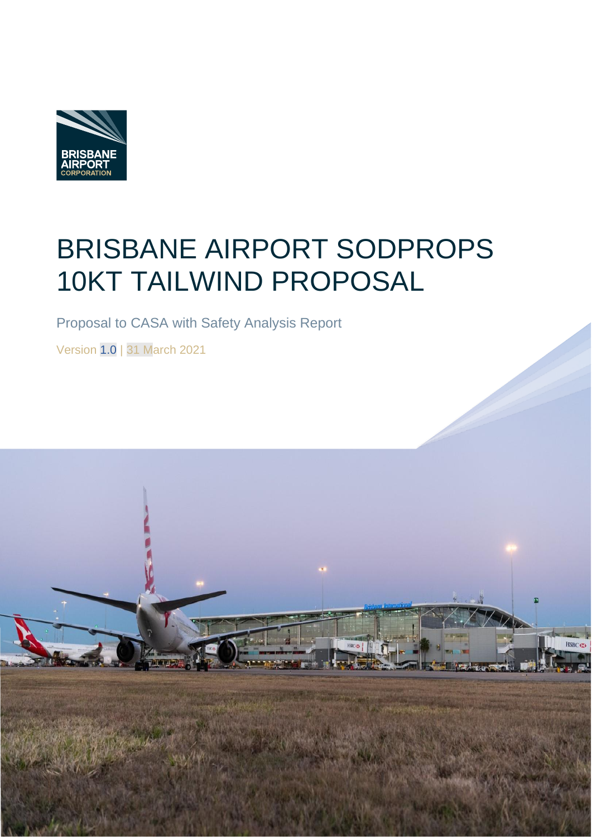

# BRISBANE AIRPORT SODPROPS 10KT TAILWIND PROPOSAL

Proposal to CASA with Safety Analysis Report

Version 1.0 | 31 March 2021

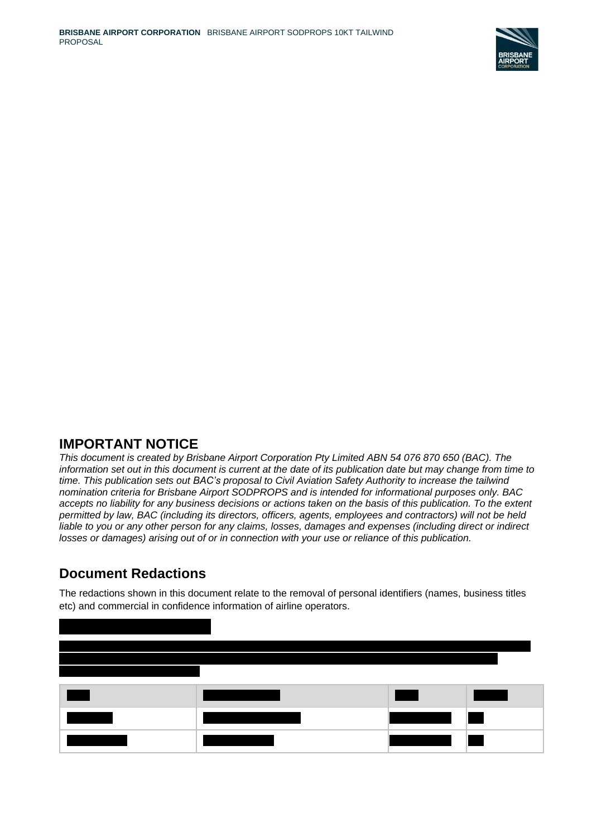

#### **IMPORTANT NOTICE**

*This document is created by Brisbane Airport Corporation Pty Limited ABN 54 076 870 650 (BAC). The information set out in this document is current at the date of its publication date but may change from time to time. This publication sets out BAC's proposal to Civil Aviation Safety Authority to increase the tailwind nomination criteria for Brisbane Airport SODPROPS and is intended for informational purposes only. BAC accepts no liability for any business decisions or actions taken on the basis of this publication. To the extent permitted by law, BAC (including its directors, officers, agents, employees and contractors) will not be held liable to you or any other person for any claims, losses, damages and expenses (including direct or indirect losses or damages) arising out of or in connection with your use or reliance of this publication.*

### **Document Redactions**

The redactions shown in this document relate to the removal of personal identifiers (names, business titles etc) and commercial in confidence information of airline operators.

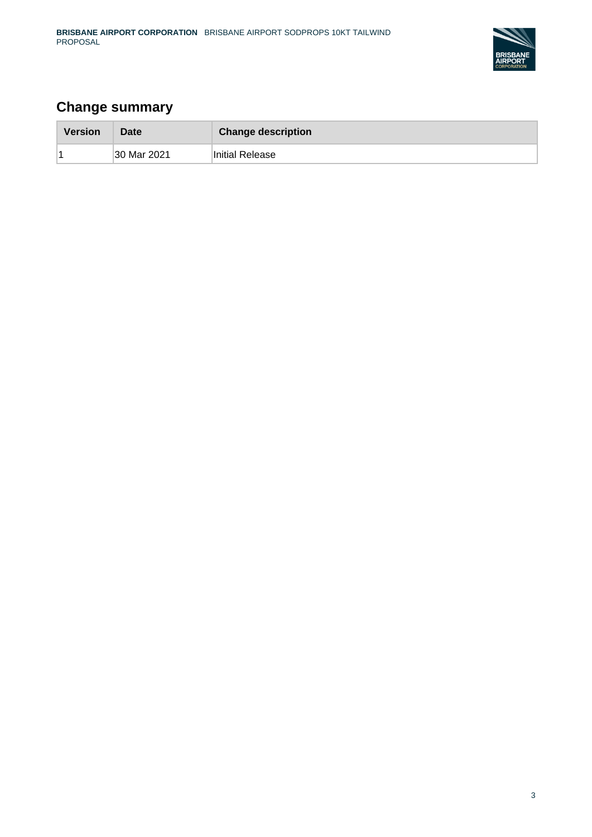

### **Change summary**

| <b>Version</b> | Date        | <b>Change description</b> |
|----------------|-------------|---------------------------|
|                | 30 Mar 2021 | Initial Release           |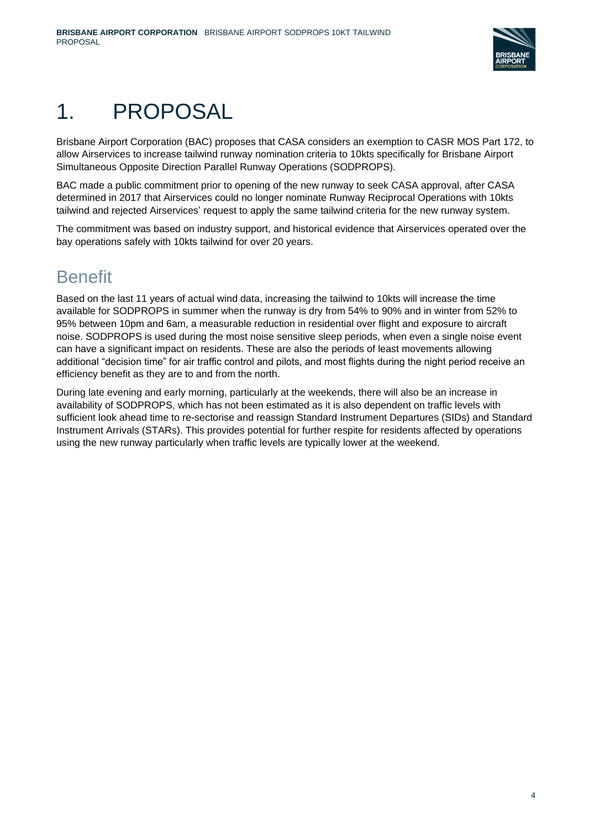

# 1. PROPOSAL

Brisbane Airport Corporation (BAC) proposes that CASA considers an exemption to CASR MOS Part 172, to allow Airservices to increase tailwind runway nomination criteria to 10kts specifically for Brisbane Airport Simultaneous Opposite Direction Parallel Runway Operations (SODPROPS).

BAC made a public commitment prior to opening of the new runway to seek CASA approval, after CASA determined in 2017 that Airservices could no longer nominate Runway Reciprocal Operations with 10kts tailwind and rejected Airservices' request to apply the same tailwind criteria for the new runway system.

The commitment was based on industry support, and historical evidence that Airservices operated over the bay operations safely with 10kts tailwind for over 20 years.

## **Benefit**

Based on the last 11 years of actual wind data, increasing the tailwind to 10kts will increase the time available for SODPROPS in summer when the runway is dry from 54% to 90% and in winter from 52% to 95% between 10pm and 6am, a measurable reduction in residential over flight and exposure to aircraft noise. SODPROPS is used during the most noise sensitive sleep periods, when even a single noise event can have a significant impact on residents. These are also the periods of least movements allowing additional "decision time" for air traffic control and pilots, and most flights during the night period receive an efficiency benefit as they are to and from the north.

During late evening and early morning, particularly at the weekends, there will also be an increase in availability of SODPROPS, which has not been estimated as it is also dependent on traffic levels with sufficient look ahead time to re-sectorise and reassign Standard Instrument Departures (SIDs) and Standard Instrument Arrivals (STARs). This provides potential for further respite for residents affected by operations using the new runway particularly when traffic levels are typically lower at the weekend.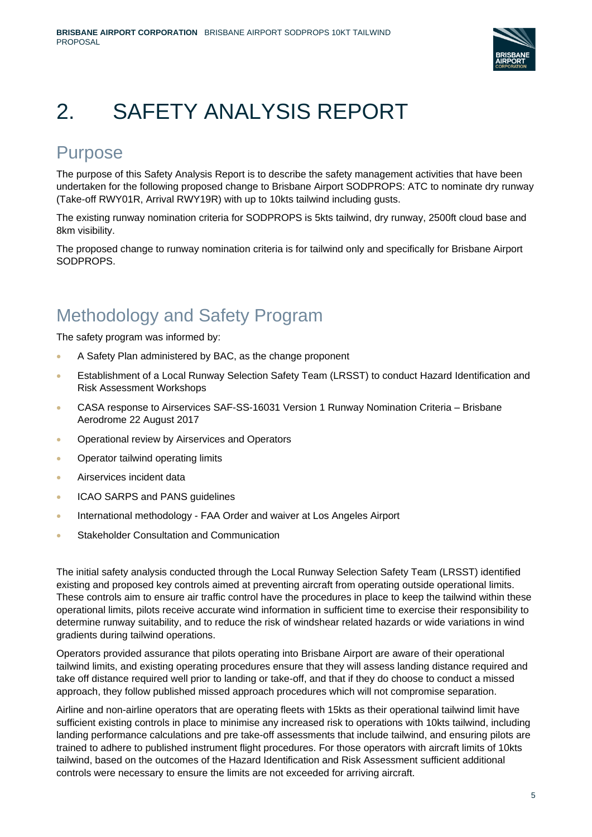

# 2. SAFETY ANALYSIS REPORT

## Purpose

The purpose of this Safety Analysis Report is to describe the safety management activities that have been undertaken for the following proposed change to Brisbane Airport SODPROPS: ATC to nominate dry runway (Take-off RWY01R, Arrival RWY19R) with up to 10kts tailwind including gusts.

The existing runway nomination criteria for SODPROPS is 5kts tailwind, dry runway, 2500ft cloud base and 8km visibility.

The proposed change to runway nomination criteria is for tailwind only and specifically for Brisbane Airport SODPROPS.

## Methodology and Safety Program

The safety program was informed by:

- A Safety Plan administered by BAC, as the change proponent
- Establishment of a Local Runway Selection Safety Team (LRSST) to conduct Hazard Identification and Risk Assessment Workshops
- CASA response to Airservices SAF-SS-16031 Version 1 Runway Nomination Criteria Brisbane Aerodrome 22 August 2017
- Operational review by Airservices and Operators
- Operator tailwind operating limits
- Airservices incident data
- ICAO SARPS and PANS guidelines
- International methodology FAA Order and waiver at Los Angeles Airport
- Stakeholder Consultation and Communication

The initial safety analysis conducted through the Local Runway Selection Safety Team (LRSST) identified existing and proposed key controls aimed at preventing aircraft from operating outside operational limits. These controls aim to ensure air traffic control have the procedures in place to keep the tailwind within these operational limits, pilots receive accurate wind information in sufficient time to exercise their responsibility to determine runway suitability, and to reduce the risk of windshear related hazards or wide variations in wind gradients during tailwind operations.

Operators provided assurance that pilots operating into Brisbane Airport are aware of their operational tailwind limits, and existing operating procedures ensure that they will assess landing distance required and take off distance required well prior to landing or take-off, and that if they do choose to conduct a missed approach, they follow published missed approach procedures which will not compromise separation.

Airline and non-airline operators that are operating fleets with 15kts as their operational tailwind limit have sufficient existing controls in place to minimise any increased risk to operations with 10kts tailwind, including landing performance calculations and pre take-off assessments that include tailwind, and ensuring pilots are trained to adhere to published instrument flight procedures. For those operators with aircraft limits of 10kts tailwind, based on the outcomes of the Hazard Identification and Risk Assessment sufficient additional controls were necessary to ensure the limits are not exceeded for arriving aircraft.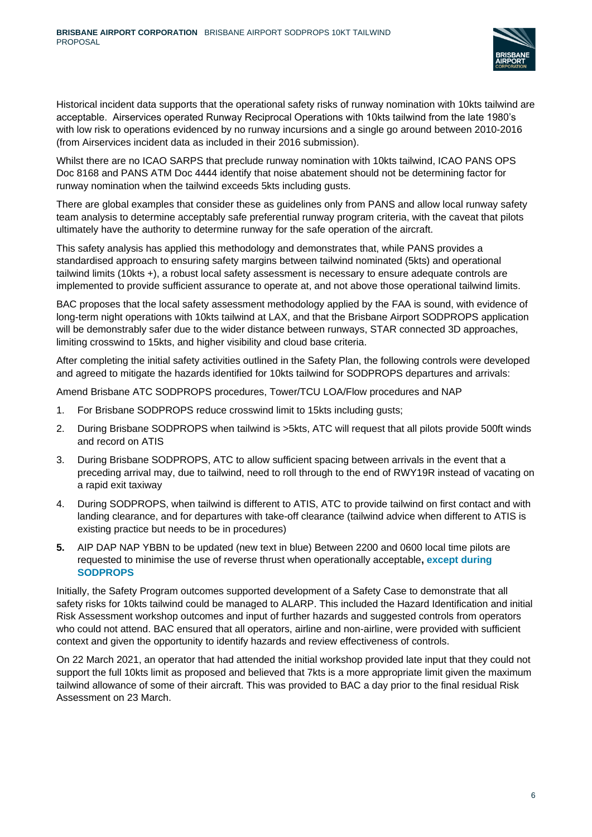

Historical incident data supports that the operational safety risks of runway nomination with 10kts tailwind are acceptable. Airservices operated Runway Reciprocal Operations with 10kts tailwind from the late 1980's with low risk to operations evidenced by no runway incursions and a single go around between 2010-2016 (from Airservices incident data as included in their 2016 submission).

Whilst there are no ICAO SARPS that preclude runway nomination with 10kts tailwind, ICAO PANS OPS Doc 8168 and PANS ATM Doc 4444 identify that noise abatement should not be determining factor for runway nomination when the tailwind exceeds 5kts including gusts.

There are global examples that consider these as guidelines only from PANS and allow local runway safety team analysis to determine acceptably safe preferential runway program criteria, with the caveat that pilots ultimately have the authority to determine runway for the safe operation of the aircraft.

This safety analysis has applied this methodology and demonstrates that, while PANS provides a standardised approach to ensuring safety margins between tailwind nominated (5kts) and operational tailwind limits (10kts +), a robust local safety assessment is necessary to ensure adequate controls are implemented to provide sufficient assurance to operate at, and not above those operational tailwind limits.

BAC proposes that the local safety assessment methodology applied by the FAA is sound, with evidence of long-term night operations with 10kts tailwind at LAX, and that the Brisbane Airport SODPROPS application will be demonstrably safer due to the wider distance between runways, STAR connected 3D approaches, limiting crosswind to 15kts, and higher visibility and cloud base criteria.

After completing the initial safety activities outlined in the Safety Plan, the following controls were developed and agreed to mitigate the hazards identified for 10kts tailwind for SODPROPS departures and arrivals:

Amend Brisbane ATC SODPROPS procedures, Tower/TCU LOA/Flow procedures and NAP

- 1. For Brisbane SODPROPS reduce crosswind limit to 15kts including gusts;
- 2. During Brisbane SODPROPS when tailwind is >5kts, ATC will request that all pilots provide 500ft winds and record on ATIS
- 3. During Brisbane SODPROPS, ATC to allow sufficient spacing between arrivals in the event that a preceding arrival may, due to tailwind, need to roll through to the end of RWY19R instead of vacating on a rapid exit taxiway
- 4. During SODPROPS, when tailwind is different to ATIS, ATC to provide tailwind on first contact and with landing clearance, and for departures with take-off clearance (tailwind advice when different to ATIS is existing practice but needs to be in procedures)
- **5.** AIP DAP NAP YBBN to be updated (new text in blue) Between 2200 and 0600 local time pilots are requested to minimise the use of reverse thrust when operationally acceptable**, except during SODPROPS**

Initially, the Safety Program outcomes supported development of a Safety Case to demonstrate that all safety risks for 10kts tailwind could be managed to ALARP. This included the Hazard Identification and initial Risk Assessment workshop outcomes and input of further hazards and suggested controls from operators who could not attend. BAC ensured that all operators, airline and non-airline, were provided with sufficient context and given the opportunity to identify hazards and review effectiveness of controls.

On 22 March 2021, an operator that had attended the initial workshop provided late input that they could not support the full 10kts limit as proposed and believed that 7kts is a more appropriate limit given the maximum tailwind allowance of some of their aircraft. This was provided to BAC a day prior to the final residual Risk Assessment on 23 March.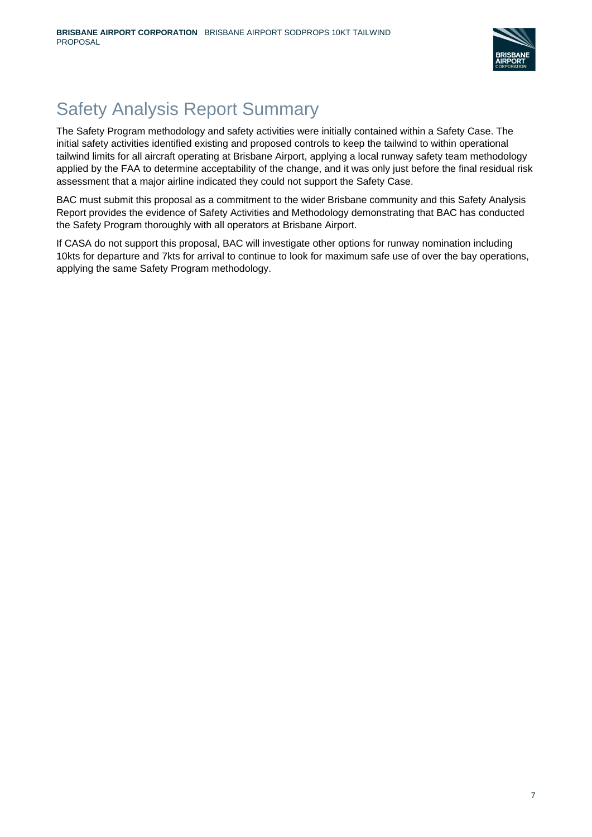

## Safety Analysis Report Summary

The Safety Program methodology and safety activities were initially contained within a Safety Case. The initial safety activities identified existing and proposed controls to keep the tailwind to within operational tailwind limits for all aircraft operating at Brisbane Airport, applying a local runway safety team methodology applied by the FAA to determine acceptability of the change, and it was only just before the final residual risk assessment that a major airline indicated they could not support the Safety Case.

BAC must submit this proposal as a commitment to the wider Brisbane community and this Safety Analysis Report provides the evidence of Safety Activities and Methodology demonstrating that BAC has conducted the Safety Program thoroughly with all operators at Brisbane Airport.

If CASA do not support this proposal, BAC will investigate other options for runway nomination including 10kts for departure and 7kts for arrival to continue to look for maximum safe use of over the bay operations, applying the same Safety Program methodology.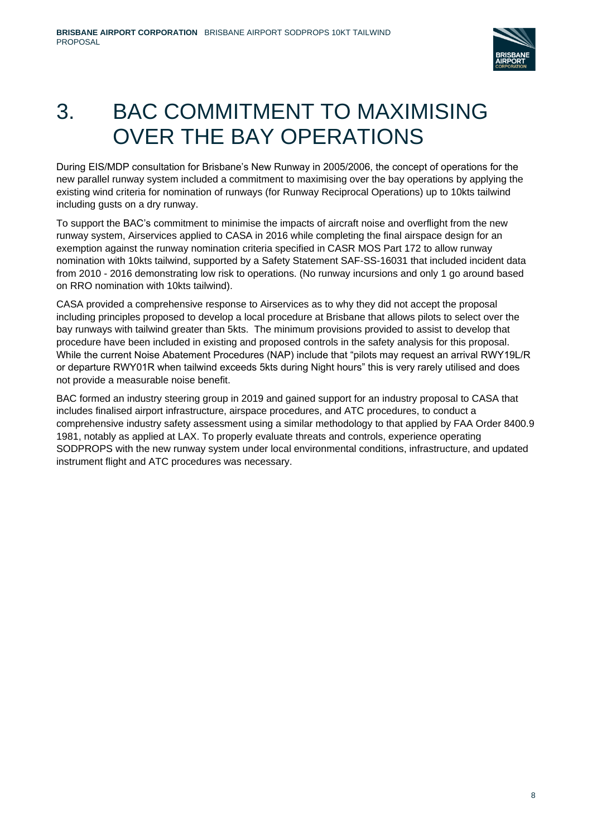

# 3. BAC COMMITMENT TO MAXIMISING OVER THE BAY OPERATIONS

During EIS/MDP consultation for Brisbane's New Runway in 2005/2006, the concept of operations for the new parallel runway system included a commitment to maximising over the bay operations by applying the existing wind criteria for nomination of runways (for Runway Reciprocal Operations) up to 10kts tailwind including gusts on a dry runway.

To support the BAC's commitment to minimise the impacts of aircraft noise and overflight from the new runway system, Airservices applied to CASA in 2016 while completing the final airspace design for an exemption against the runway nomination criteria specified in CASR MOS Part 172 to allow runway nomination with 10kts tailwind, supported by a Safety Statement SAF-SS-16031 that included incident data from 2010 - 2016 demonstrating low risk to operations. (No runway incursions and only 1 go around based on RRO nomination with 10kts tailwind).

CASA provided a comprehensive response to Airservices as to why they did not accept the proposal including principles proposed to develop a local procedure at Brisbane that allows pilots to select over the bay runways with tailwind greater than 5kts. The minimum provisions provided to assist to develop that procedure have been included in existing and proposed controls in the safety analysis for this proposal. While the current Noise Abatement Procedures (NAP) include that "pilots may request an arrival RWY19L/R or departure RWY01R when tailwind exceeds 5kts during Night hours" this is very rarely utilised and does not provide a measurable noise benefit.

BAC formed an industry steering group in 2019 and gained support for an industry proposal to CASA that includes finalised airport infrastructure, airspace procedures, and ATC procedures, to conduct a comprehensive industry safety assessment using a similar methodology to that applied by FAA Order 8400.9 1981, notably as applied at LAX. To properly evaluate threats and controls, experience operating SODPROPS with the new runway system under local environmental conditions, infrastructure, and updated instrument flight and ATC procedures was necessary.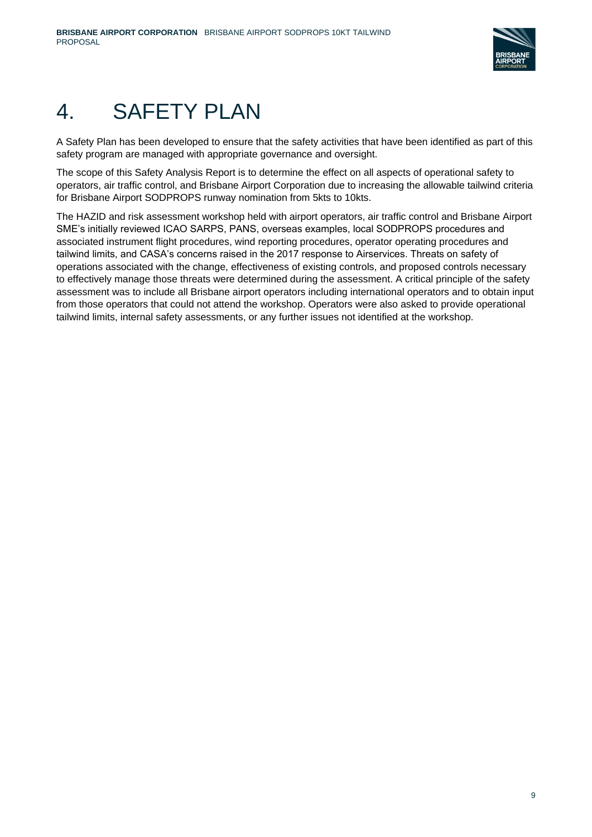

# 4. SAFETY PLAN

A Safety Plan has been developed to ensure that the safety activities that have been identified as part of this safety program are managed with appropriate governance and oversight.

The scope of this Safety Analysis Report is to determine the effect on all aspects of operational safety to operators, air traffic control, and Brisbane Airport Corporation due to increasing the allowable tailwind criteria for Brisbane Airport SODPROPS runway nomination from 5kts to 10kts.

The HAZID and risk assessment workshop held with airport operators, air traffic control and Brisbane Airport SME's initially reviewed ICAO SARPS, PANS, overseas examples, local SODPROPS procedures and associated instrument flight procedures, wind reporting procedures, operator operating procedures and tailwind limits, and CASA's concerns raised in the 2017 response to Airservices. Threats on safety of operations associated with the change, effectiveness of existing controls, and proposed controls necessary to effectively manage those threats were determined during the assessment. A critical principle of the safety assessment was to include all Brisbane airport operators including international operators and to obtain input from those operators that could not attend the workshop. Operators were also asked to provide operational tailwind limits, internal safety assessments, or any further issues not identified at the workshop.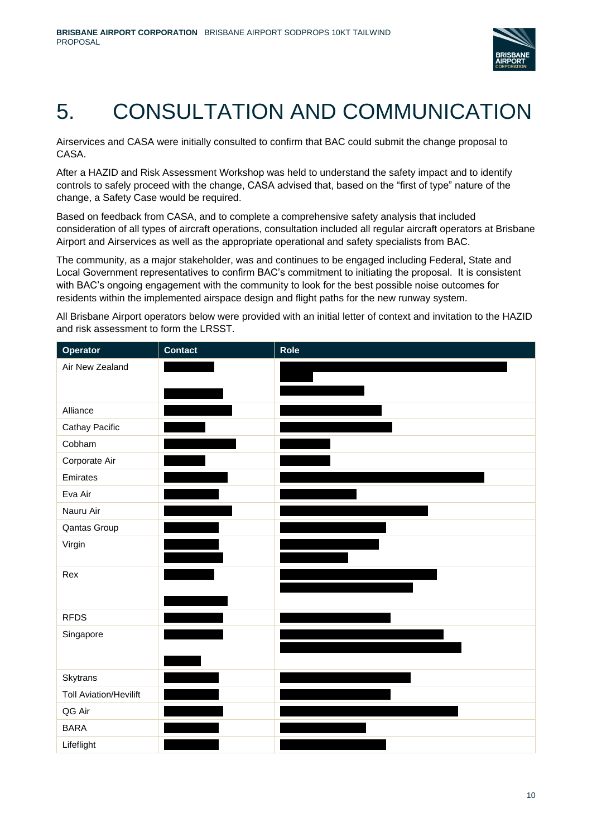

# 5. CONSULTATION AND COMMUNICATION

Airservices and CASA were initially consulted to confirm that BAC could submit the change proposal to CASA.

After a HAZID and Risk Assessment Workshop was held to understand the safety impact and to identify controls to safely proceed with the change, CASA advised that, based on the "first of type" nature of the change, a Safety Case would be required.

Based on feedback from CASA, and to complete a comprehensive safety analysis that included consideration of all types of aircraft operations, consultation included all regular aircraft operators at Brisbane Airport and Airservices as well as the appropriate operational and safety specialists from BAC.

The community, as a major stakeholder, was and continues to be engaged including Federal, State and Local Government representatives to confirm BAC's commitment to initiating the proposal. It is consistent with BAC's ongoing engagement with the community to look for the best possible noise outcomes for residents within the implemented airspace design and flight paths for the new runway system.

All Brisbane Airport operators below were provided with an initial letter of context and invitation to the HAZID and risk assessment to form the LRSST.

| Operator                      | <b>Contact</b> | <b>Role</b> |
|-------------------------------|----------------|-------------|
| Air New Zealand               |                |             |
|                               |                |             |
|                               |                |             |
| Alliance                      |                |             |
| Cathay Pacific                |                |             |
| Cobham                        |                |             |
| Corporate Air                 |                |             |
| Emirates                      |                |             |
| Eva Air                       |                |             |
| Nauru Air                     |                |             |
| Qantas Group                  |                |             |
| Virgin                        |                |             |
|                               |                |             |
| Rex                           |                |             |
|                               |                |             |
|                               |                |             |
| <b>RFDS</b>                   |                |             |
| Singapore                     |                |             |
|                               |                |             |
|                               |                |             |
| Skytrans                      |                |             |
| <b>Toll Aviation/Hevilift</b> |                |             |
| QG Air                        |                |             |
| <b>BARA</b>                   |                |             |
| Lifeflight                    |                |             |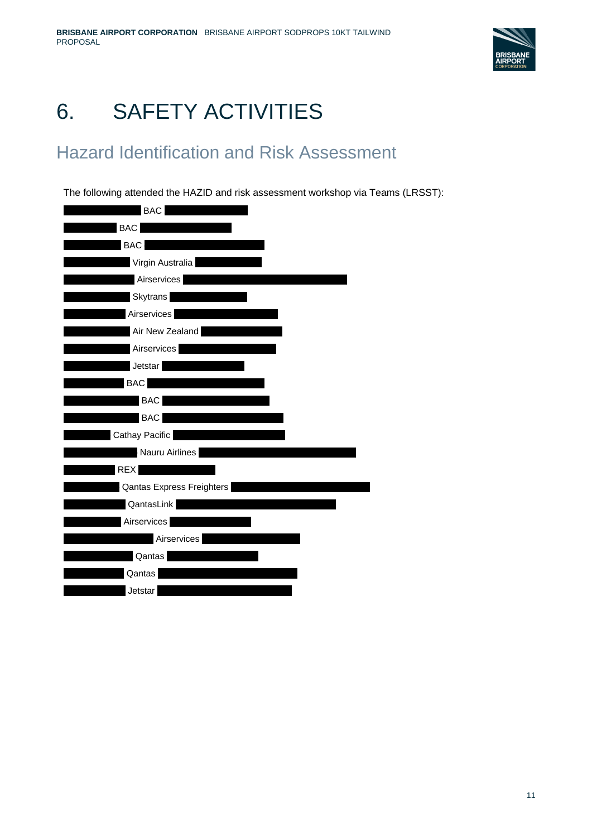

# 6. SAFETY ACTIVITIES

## Hazard Identification and Risk Assessment

The following attended the HAZID and risk assessment workshop via Teams (LRSST):

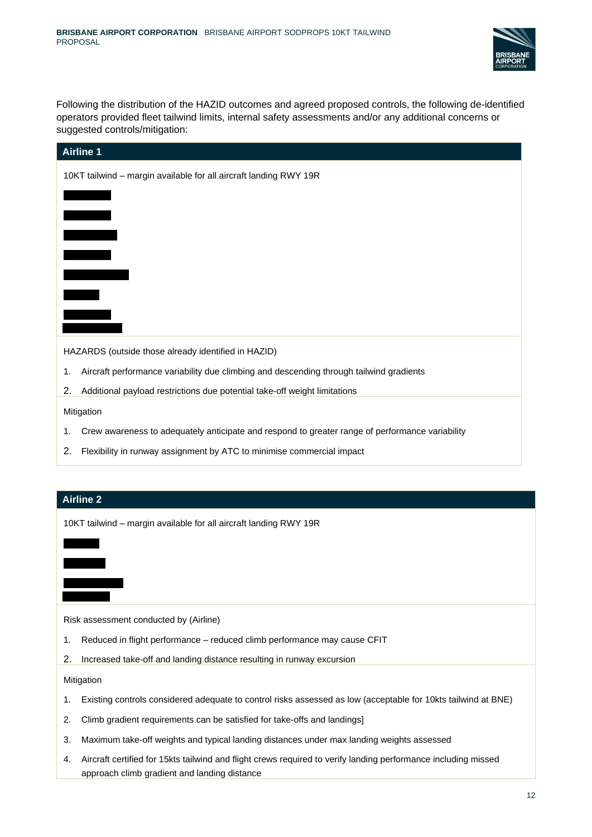

Following the distribution of the HAZID outcomes and agreed proposed controls, the following de-identified operators provided fleet tailwind limits, internal safety assessments and/or any additional concerns or suggested controls/mitigation:

| <b>Airline 1</b>                                                  |  |  |  |  |  |  |  |  |  |  |  |  |
|-------------------------------------------------------------------|--|--|--|--|--|--|--|--|--|--|--|--|
| 10KT tailwind - margin available for all aircraft landing RWY 19R |  |  |  |  |  |  |  |  |  |  |  |  |
|                                                                   |  |  |  |  |  |  |  |  |  |  |  |  |
|                                                                   |  |  |  |  |  |  |  |  |  |  |  |  |
|                                                                   |  |  |  |  |  |  |  |  |  |  |  |  |
|                                                                   |  |  |  |  |  |  |  |  |  |  |  |  |
|                                                                   |  |  |  |  |  |  |  |  |  |  |  |  |
|                                                                   |  |  |  |  |  |  |  |  |  |  |  |  |
|                                                                   |  |  |  |  |  |  |  |  |  |  |  |  |
|                                                                   |  |  |  |  |  |  |  |  |  |  |  |  |
| HAZARDS (outside those already identified in HAZID)               |  |  |  |  |  |  |  |  |  |  |  |  |

1. Aircraft performance variability due climbing and descending through tailwind gradients

2. Additional payload restrictions due potential take-off weight limitations

Mitigation

- 1. Crew awareness to adequately anticipate and respond to greater range of performance variability
- 2. Flexibility in runway assignment by ATC to minimise commercial impact

#### **Airline 2**

10KT tailwind – margin available for all aircraft landing RWY 19R

Risk assessment conducted by (Airline)

- 1. Reduced in flight performance reduced climb performance may cause CFIT
- 2. Increased take-off and landing distance resulting in runway excursion

**Mitigation** 

- 1. Existing controls considered adequate to control risks assessed as low (acceptable for 10kts tailwind at BNE)
- 2. Climb gradient requirements can be satisfied for take-offs and landings]
- 3. Maximum take-off weights and typical landing distances under max landing weights assessed
- 4. Aircraft certified for 15kts tailwind and flight crews required to verify landing performance including missed approach climb gradient and landing distance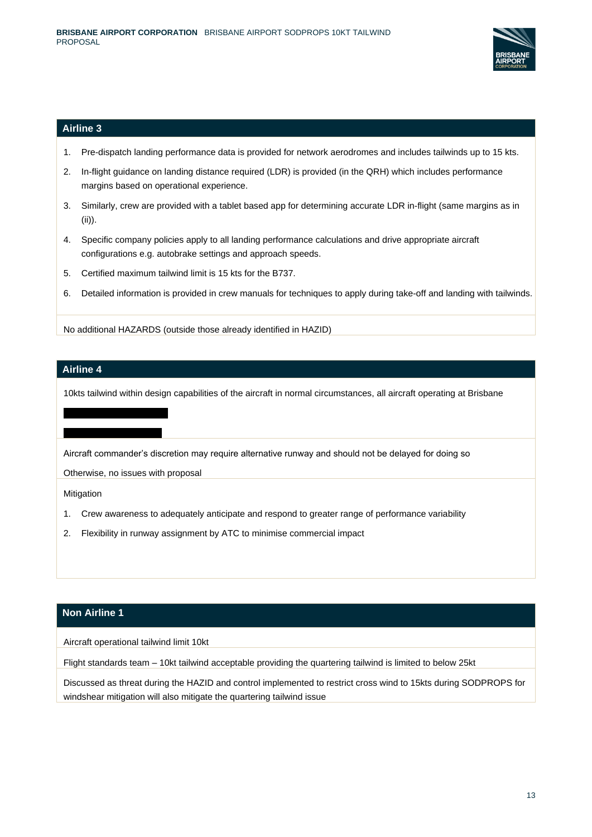

#### **Airline 3**

- 1. Pre-dispatch landing performance data is provided for network aerodromes and includes tailwinds up to 15 kts.
- 2. In-flight guidance on landing distance required (LDR) is provided (in the QRH) which includes performance margins based on operational experience.
- 3. Similarly, crew are provided with a tablet based app for determining accurate LDR in-flight (same margins as in (ii)).
- 4. Specific company policies apply to all landing performance calculations and drive appropriate aircraft configurations e.g. autobrake settings and approach speeds.
- 5. Certified maximum tailwind limit is 15 kts for the B737.
- 6. Detailed information is provided in crew manuals for techniques to apply during take-off and landing with tailwinds.

No additional HAZARDS (outside those already identified in HAZID)

#### **Airline 4**

10kts tailwind within design capabilities of the aircraft in normal circumstances, all aircraft operating at Brisbane

Aircraft commander's discretion may require alternative runway and should not be delayed for doing so

Otherwise, no issues with proposal

Mitigation

- 1. Crew awareness to adequately anticipate and respond to greater range of performance variability
- 2. Flexibility in runway assignment by ATC to minimise commercial impact

#### **Non Airline 1**

Aircraft operational tailwind limit 10kt

Flight standards team – 10kt tailwind acceptable providing the quartering tailwind is limited to below 25kt

Discussed as threat during the HAZID and control implemented to restrict cross wind to 15kts during SODPROPS for windshear mitigation will also mitigate the quartering tailwind issue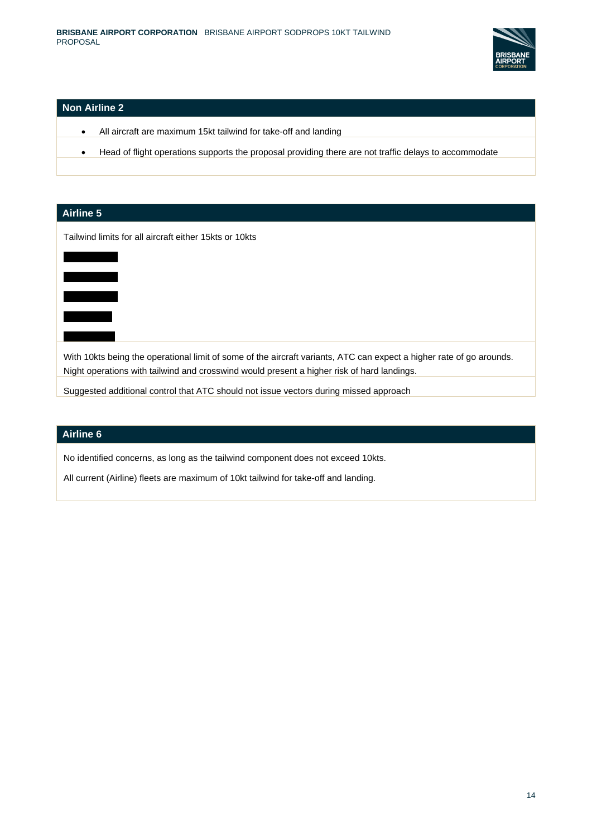

#### **Non Airline 2**

- All aircraft are maximum 15kt tailwind for take-off and landing
- Head of flight operations supports the proposal providing there are not traffic delays to accommodate

## **Airline 5** Tailwind limits for all aircraft either 15kts or 10kts  $\overline{\phantom{a}}$  $X \rightarrow \infty$  $X \times X$ With 10kts being the operational limit of some of the aircraft variants, ATC can expect a higher rate of go arounds. Night operations with tailwind and crosswind would present a higher risk of hard landings. Suggested additional control that ATC should not issue vectors during missed approach

#### **Airline 6**

No identified concerns, as long as the tailwind component does not exceed 10kts.

All current (Airline) fleets are maximum of 10kt tailwind for take-off and landing.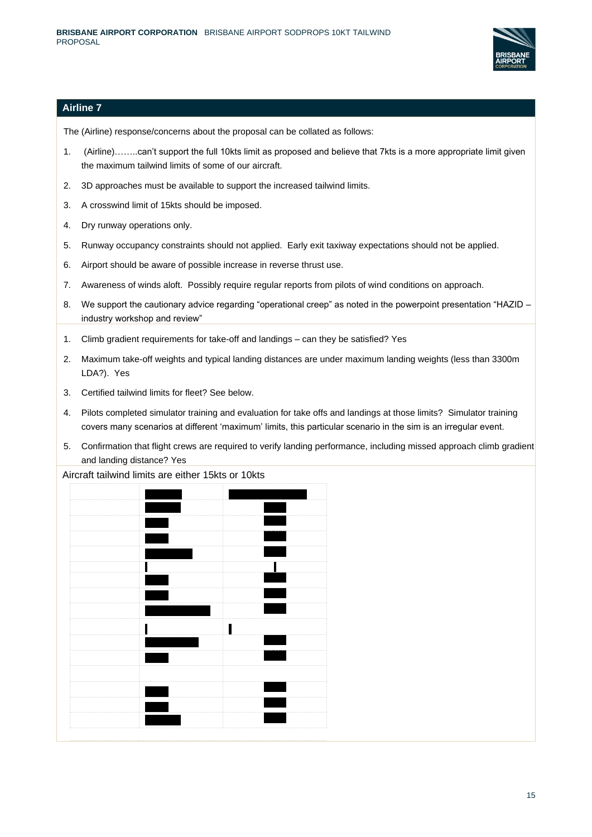

#### **Airline 7**

The (Airline) response/concerns about the proposal can be collated as follows:

- 1. (Airline)……..can't support the full 10kts limit as proposed and believe that 7kts is a more appropriate limit given the maximum tailwind limits of some of our aircraft.
- 2. 3D approaches must be available to support the increased tailwind limits.
- 3. A crosswind limit of 15kts should be imposed.
- 4. Dry runway operations only.
- 5. Runway occupancy constraints should not applied. Early exit taxiway expectations should not be applied.
- 6. Airport should be aware of possible increase in reverse thrust use.
- 7. Awareness of winds aloft. Possibly require regular reports from pilots of wind conditions on approach.
- 8. We support the cautionary advice regarding "operational creep" as noted in the powerpoint presentation "HAZID industry workshop and review"
- 1. Climb gradient requirements for take-off and landings can they be satisfied? Yes
- 2. Maximum take-off weights and typical landing distances are under maximum landing weights (less than 3300m LDA?). Yes
- 3. Certified tailwind limits for fleet? See below.
- 4. Pilots completed simulator training and evaluation for take offs and landings at those limits? Simulator training covers many scenarios at different 'maximum' limits, this particular scenario in the sim is an irregular event.
- 5. Confirmation that flight crews are required to verify landing performance, including missed approach climb gradient and landing distance? Yes

Aircraft tailwind limits are either 15kts or 10kts

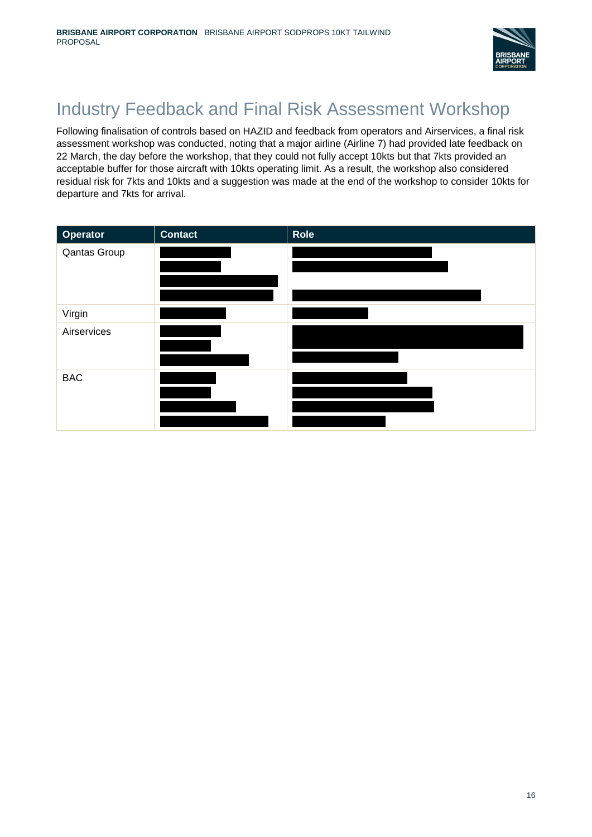

## Industry Feedback and Final Risk Assessment Workshop

Following finalisation of controls based on HAZID and feedback from operators and Airservices, a final risk assessment workshop was conducted, noting that a major airline (Airline 7) had provided late feedback on 22 March, the day before the workshop, that they could not fully accept 10kts but that 7kts provided an acceptable buffer for those aircraft with 10kts operating limit. As a result, the workshop also considered residual risk for 7kts and 10kts and a suggestion was made at the end of the workshop to consider 10kts for departure and 7kts for arrival.

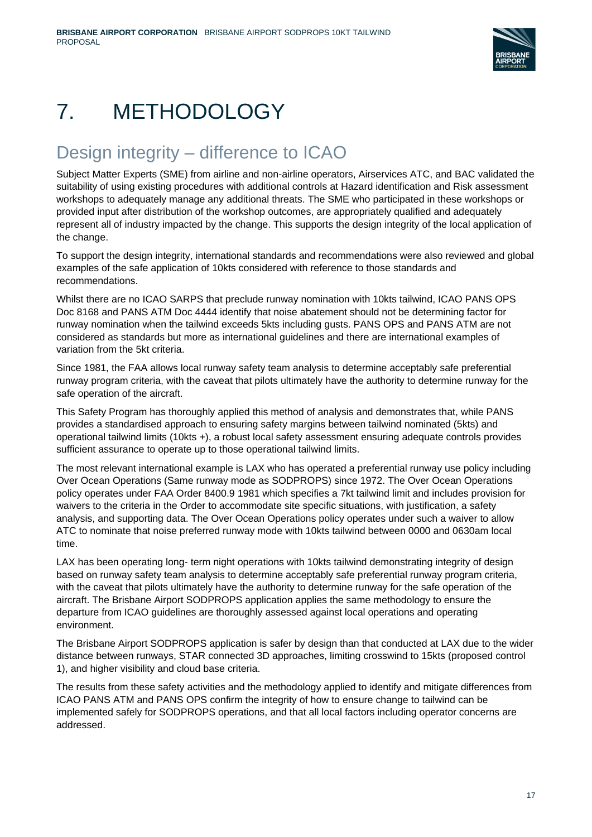

# 7. METHODOLOGY

## Design integrity – difference to ICAO

Subject Matter Experts (SME) from airline and non-airline operators, Airservices ATC, and BAC validated the suitability of using existing procedures with additional controls at Hazard identification and Risk assessment workshops to adequately manage any additional threats. The SME who participated in these workshops or provided input after distribution of the workshop outcomes, are appropriately qualified and adequately represent all of industry impacted by the change. This supports the design integrity of the local application of the change.

To support the design integrity, international standards and recommendations were also reviewed and global examples of the safe application of 10kts considered with reference to those standards and recommendations.

Whilst there are no ICAO SARPS that preclude runway nomination with 10kts tailwind, ICAO PANS OPS Doc 8168 and PANS ATM Doc 4444 identify that noise abatement should not be determining factor for runway nomination when the tailwind exceeds 5kts including gusts. PANS OPS and PANS ATM are not considered as standards but more as international guidelines and there are international examples of variation from the 5kt criteria.

Since 1981, the FAA allows local runway safety team analysis to determine acceptably safe preferential runway program criteria, with the caveat that pilots ultimately have the authority to determine runway for the safe operation of the aircraft.

This Safety Program has thoroughly applied this method of analysis and demonstrates that, while PANS provides a standardised approach to ensuring safety margins between tailwind nominated (5kts) and operational tailwind limits (10kts +), a robust local safety assessment ensuring adequate controls provides sufficient assurance to operate up to those operational tailwind limits.

The most relevant international example is LAX who has operated a preferential runway use policy including Over Ocean Operations (Same runway mode as SODPROPS) since 1972. The Over Ocean Operations policy operates under FAA Order 8400.9 1981 which specifies a 7kt tailwind limit and includes provision for waivers to the criteria in the Order to accommodate site specific situations, with justification, a safety analysis, and supporting data. The Over Ocean Operations policy operates under such a waiver to allow ATC to nominate that noise preferred runway mode with 10kts tailwind between 0000 and 0630am local time.

LAX has been operating long- term night operations with 10kts tailwind demonstrating integrity of design based on runway safety team analysis to determine acceptably safe preferential runway program criteria, with the caveat that pilots ultimately have the authority to determine runway for the safe operation of the aircraft. The Brisbane Airport SODPROPS application applies the same methodology to ensure the departure from ICAO guidelines are thoroughly assessed against local operations and operating environment.

The Brisbane Airport SODPROPS application is safer by design than that conducted at LAX due to the wider distance between runways, STAR connected 3D approaches, limiting crosswind to 15kts (proposed control 1), and higher visibility and cloud base criteria.

The results from these safety activities and the methodology applied to identify and mitigate differences from ICAO PANS ATM and PANS OPS confirm the integrity of how to ensure change to tailwind can be implemented safely for SODPROPS operations, and that all local factors including operator concerns are addressed.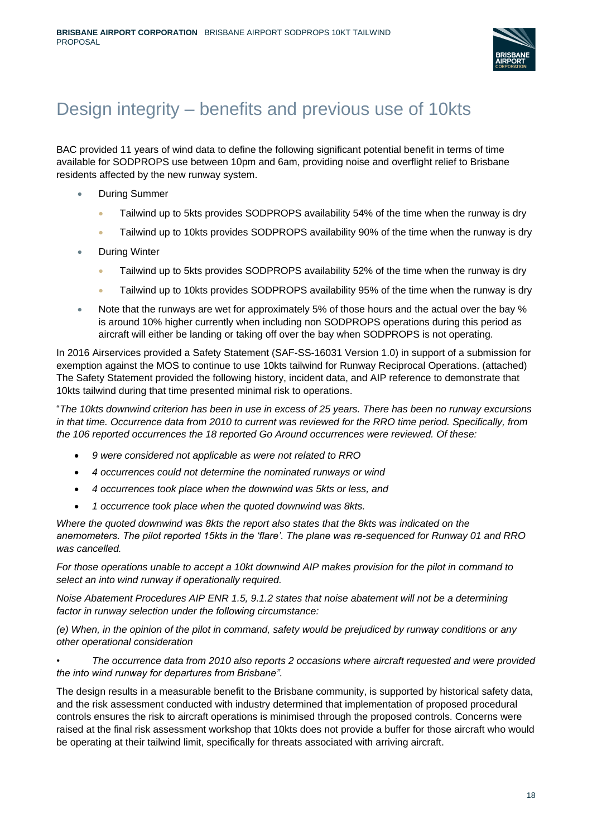

## Design integrity – benefits and previous use of 10kts

BAC provided 11 years of wind data to define the following significant potential benefit in terms of time available for SODPROPS use between 10pm and 6am, providing noise and overflight relief to Brisbane residents affected by the new runway system.

- During Summer
	- Tailwind up to 5kts provides SODPROPS availability 54% of the time when the runway is dry
	- Tailwind up to 10kts provides SODPROPS availability 90% of the time when the runway is dry
- During Winter
	- Tailwind up to 5kts provides SODPROPS availability 52% of the time when the runway is dry
	- Tailwind up to 10kts provides SODPROPS availability 95% of the time when the runway is dry
- Note that the runways are wet for approximately 5% of those hours and the actual over the bay % is around 10% higher currently when including non SODPROPS operations during this period as aircraft will either be landing or taking off over the bay when SODPROPS is not operating.

In 2016 Airservices provided a Safety Statement (SAF-SS-16031 Version 1.0) in support of a submission for exemption against the MOS to continue to use 10kts tailwind for Runway Reciprocal Operations. (attached) The Safety Statement provided the following history, incident data, and AIP reference to demonstrate that 10kts tailwind during that time presented minimal risk to operations.

"*The 10kts downwind criterion has been in use in excess of 25 years. There has been no runway excursions in that time. Occurrence data from 2010 to current was reviewed for the RRO time period. Specifically, from the 106 reported occurrences the 18 reported Go Around occurrences were reviewed. Of these:* 

- *9 were considered not applicable as were not related to RRO*
- *4 occurrences could not determine the nominated runways or wind*
- *4 occurrences took place when the downwind was 5kts or less, and*
- *1 occurrence took place when the quoted downwind was 8kts.*

*Where the quoted downwind was 8kts the report also states that the 8kts was indicated on the anemometers. The pilot reported 15kts in the 'flare'. The plane was re-sequenced for Runway 01 and RRO was cancelled.* 

*For those operations unable to accept a 10kt downwind AIP makes provision for the pilot in command to select an into wind runway if operationally required.* 

*Noise Abatement Procedures AIP ENR 1.5, 9.1.2 states that noise abatement will not be a determining factor in runway selection under the following circumstance:* 

*(e) When, in the opinion of the pilot in command, safety would be prejudiced by runway conditions or any other operational consideration* 

*• The occurrence data from 2010 also reports 2 occasions where aircraft requested and were provided the into wind runway for departures from Brisbane".*

The design results in a measurable benefit to the Brisbane community, is supported by historical safety data, and the risk assessment conducted with industry determined that implementation of proposed procedural controls ensures the risk to aircraft operations is minimised through the proposed controls. Concerns were raised at the final risk assessment workshop that 10kts does not provide a buffer for those aircraft who would be operating at their tailwind limit, specifically for threats associated with arriving aircraft.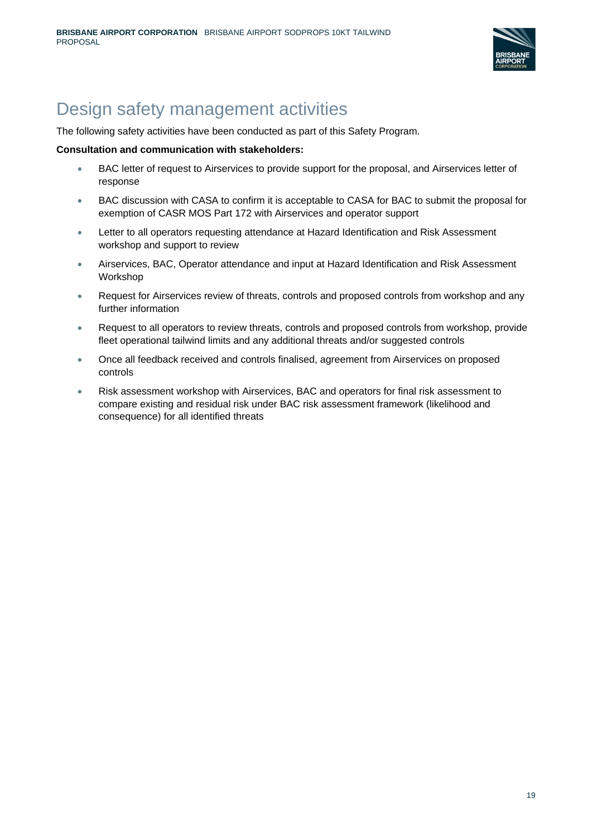

## Design safety management activities

The following safety activities have been conducted as part of this Safety Program.

#### **Consultation and communication with stakeholders:**

- BAC letter of request to Airservices to provide support for the proposal, and Airservices letter of response
- BAC discussion with CASA to confirm it is acceptable to CASA for BAC to submit the proposal for exemption of CASR MOS Part 172 with Airservices and operator support
- Letter to all operators requesting attendance at Hazard Identification and Risk Assessment workshop and support to review
- Airservices, BAC, Operator attendance and input at Hazard Identification and Risk Assessment Workshop
- Request for Airservices review of threats, controls and proposed controls from workshop and any further information
- Request to all operators to review threats, controls and proposed controls from workshop, provide fleet operational tailwind limits and any additional threats and/or suggested controls
- Once all feedback received and controls finalised, agreement from Airservices on proposed controls
- Risk assessment workshop with Airservices, BAC and operators for final risk assessment to compare existing and residual risk under BAC risk assessment framework (likelihood and consequence) for all identified threats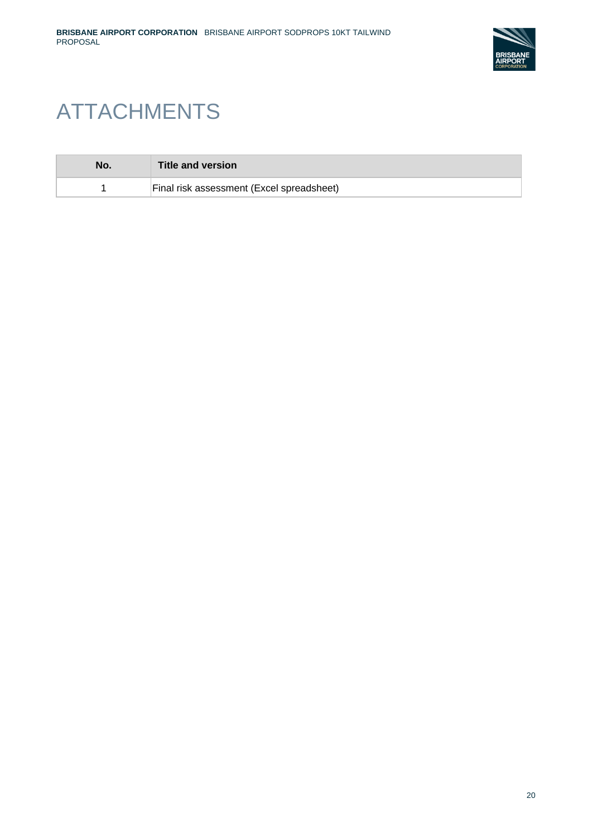

# ATTACHMENTS

| No. | Title and version                         |
|-----|-------------------------------------------|
|     | Final risk assessment (Excel spreadsheet) |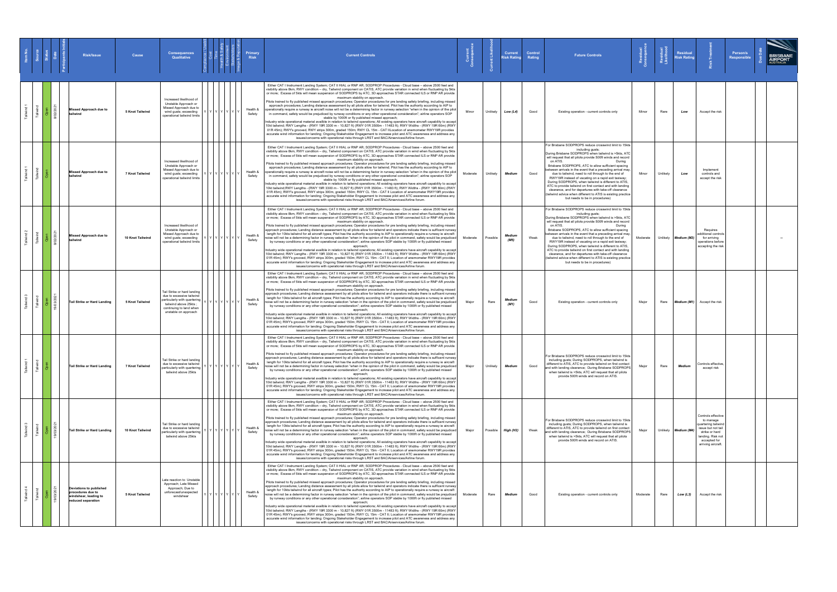|  | <b>Risk/Issue</b>                                                                           | Cause            | <b>Consequences</b><br><b>Qualitative</b>                                                                                                                            |                       | <b>Risk</b>        | <b>Current Controls</b>                                                                                                                                                                                                                                                                                                                                                                                                                                                                                                                                                                                                                                                                                                                                                                                                                                                                                                                                                                                                                                                                                                                                                                                                                                                                                                                                                                                                                                                                                                                                                                                                                                                                                                                       |          |          | <b>Current</b><br>ใisk Rating | Control<br>Rating | <b>Future Controls</b>                                                                                                                                                                                                                                                                                                                                                                                                                                                                                                                                                                                                                                                                                                                    |          |          | <b>Residual</b><br><b>lisk Rating</b> |                                                                                                                                                          | Person/s<br><b>Responsible</b> | <b>BRISBANE</b><br><b>AIRPORT</b> |  |
|--|---------------------------------------------------------------------------------------------|------------------|----------------------------------------------------------------------------------------------------------------------------------------------------------------------|-----------------------|--------------------|-----------------------------------------------------------------------------------------------------------------------------------------------------------------------------------------------------------------------------------------------------------------------------------------------------------------------------------------------------------------------------------------------------------------------------------------------------------------------------------------------------------------------------------------------------------------------------------------------------------------------------------------------------------------------------------------------------------------------------------------------------------------------------------------------------------------------------------------------------------------------------------------------------------------------------------------------------------------------------------------------------------------------------------------------------------------------------------------------------------------------------------------------------------------------------------------------------------------------------------------------------------------------------------------------------------------------------------------------------------------------------------------------------------------------------------------------------------------------------------------------------------------------------------------------------------------------------------------------------------------------------------------------------------------------------------------------------------------------------------------------|----------|----------|-------------------------------|-------------------|-------------------------------------------------------------------------------------------------------------------------------------------------------------------------------------------------------------------------------------------------------------------------------------------------------------------------------------------------------------------------------------------------------------------------------------------------------------------------------------------------------------------------------------------------------------------------------------------------------------------------------------------------------------------------------------------------------------------------------------------|----------|----------|---------------------------------------|----------------------------------------------------------------------------------------------------------------------------------------------------------|--------------------------------|-----------------------------------|--|
|  | Missed Approach due to                                                                      | 5 Knot Tailwind  | Increased likelihood of<br>Unstable Approach or<br>Missed Approach due to<br>wind gusts; exceeding<br>operational tailwind limits                                    | YYYYY                 | Health &<br>Safety | Either CAT I Instrument Landing System; CAT II HIAL or RNP AR; SODPROP Procedures - Cloud base - above 2500 feet and<br>visibility above 8km, RWY condition - dry, Tailwind component on CATIS, ATC provide variation in wind when fluctuating by 5kts<br>or more; Excess of 5kts will mean suspension of SODPROPS by ATC, 3D approaches STAR connected ILS or RNP AR provide<br>maximum stability on approach.<br>Pilots trained to fly published missed approach procedures; Operator procedures for pre landing safety briefing, including missed<br>approach procedures; Landing distance assessment by all pilots allow for tailwind; Pilot has the authority according to AIP to<br>operationally require a runway ie aircraft noise will not be a determining factor in runway selection "when in the opinion of the pilot<br>in command, safety would be prejudiced by runway conditions or any other operational consideration"; airline operators SOP<br>stable by 1000ft or fly published missed approach;<br>Industry wide operational material availble in relation to tailwind operations; All existing operators have aircraft capability to accept<br>10kt tailwind; RWY Lengths - (RWY 19R 3300 m - 10,827 ft) (RWY 01R 3500m - 11483 ft); RWY Widths - (RWY 19R 60m) (RWY<br>01R 45m); RWY's grooved, RWY strips 300m, graded 150m; RWY CL 15m - CAT IILocation of anemometer RWY19R provides<br>accurate wind information for landing; Ongoing Stakeholder Engagement to increase pilot and ATC awareness and address any<br>issues/concerns with operational risks through LRST and BAC/Airservices/Airline forum.                                                                                                        | Minor    | Unlikely | Low (L4)                      | Good              | Existing operation - current controls only                                                                                                                                                                                                                                                                                                                                                                                                                                                                                                                                                                                                                                                                                                | Minor    | Rare     | Low                                   | Accept the risk                                                                                                                                          |                                |                                   |  |
|  | <b>Missed Approach due to</b><br>tailwind                                                   | 7 Knot Tailwind  | Increased likelihood of<br>Unstable Approach or<br>Missed Approach due to<br>wind gusts; exceeding<br>operational tailwind limits                                    | Y I Y I Y I Y I Y I Y | Health &<br>Safety | Either CAT I Instrument Landing System; CAT II HIAL or RNP AR; SODPROP Procedures - Cloud base - above 2500 feet and<br>visibility above 8km, RWY condition - dry, Tailwind component on CATIS, ATC provide variation in wind when fluctuating by 5kts<br>or more; Excess of 5kts will mean suspension of SODPROPS by ATC, 3D approaches STAR connected ILS or RNP AR provide<br>maximum stability on approach.<br>Pilots trained to fly published missed approach procedures; Operator procedures for pre landing safety briefing, including missed<br>approach procedures; Landing distance assessment by all pilots allow for tailwind; Pilot has the authority according to AIP to<br>operationally require a runway ie aircraft noise will not be a determining factor in runway selection "when in the opinion of the pilot<br>in command, safety would be prejudiced by runway conditions or any other operational consideration"; airline operators SOP<br>stable by 1000ft or fly published missed approach;<br>Industry wide operational material availble in relation to tailwind operations; All existing operators have aircraft capability to accept<br>10kt tailwind;RWY Lengths - (RWY 19R 3300 m - 10,827 ft) (RWY 01R 3500m - 11483 ft); RWY Widths - (RWY 19R 60m) (RWY<br>01R 45m); RWY's grooved, RWY strips 300m, graded 150m; RWY CL 15m - CAT II Location of anemometer RWY19R provides<br>accurate wind information for landing; Ongoing Stakeholder Engagement to increase pilot and ATC awareness and address any<br>issues/concerns with operational risks through LRST and BAC/Airservices/Airline forum.                                                                                                        | Moderate | Unlikely | Medium                        | Good              | For Brisbane SODPROPS reduce crosswind limit to 15kts<br>including gusts;<br>During Brisbane SODPROPS when tailwind is >5kts, ATC<br>will request that all pilots provide 500ft winds and record<br>on ATIS.<br>Durina<br>Brisbane SODPROPS, ATC to allow sufficient spacing<br>between arrivals in the event that a preceding arrival may,<br>due to tailwind, need to roll through to the end of<br>RWY19R instead of vacating on a rapid exit taxiway;<br>During SODPROPS, when tailwind is different to ATIS,<br>ATC to provide tailwind on first contact and with landing<br>clearance, and for departures with take-off clearance<br>(tailwind advice when different to ATIS is existing practice<br>but needs to be in procedures) | Minor    | Unlikely | Low                                   | Implement<br>controls and<br>accept the risk                                                                                                             |                                |                                   |  |
|  | Missed Approach due to                                                                      | 10 Knot Tailwind | Increased likelihood of<br>Unstable Approach or<br>Missed Approach due to<br>wind gusts; exceeding<br>operational tailwind limits                                    | YYYY                  | Health &<br>Safety | Either CAT I Instrument Landing System; CAT II HIAL or RNP AR; SODPROP Procedures - Cloud base - above 2500 feet and<br>visibility above 8km, RWY condition – dry, Tailwind component on CATIS, ATC provide variation in wind when fluctuating by 5kts<br>or more; Excess of 5kts will mean suspension of SODPROPS by ATC, 3D approaches STAR connected ILS or RNP AR provide<br>maximum stability on approach.<br>Pilots trained to fly published missed approach procedures; Operator procedures for pre landing safety briefing, including missed<br>approach procedures; Landing distance assessment by all pilots allow for tailwind and operators indicate there is sufficent runway<br>length for 10kts tailwind for all aircraft types; Pilot has the authority according to AIP to operationally require a runway ie aircraft<br>noise will not be a determining factor in runway selection "when in the opinion of the pilot in command, safety would be prejudiced<br>by runway conditions or any other operational consideration"; airline operators SOP stable by 1000ft or fly published missed<br>approach:<br>Industry wide operational material availble in relation to tailwind operations; All existing operators have aircraft capability to accept<br>10kt tailwind; RWY Lengths - (RWY 19R 3300 m - 10,827 ft) (RWY 01R 3500m - 11483 ft); RWY Widths - (RWY 19R 60m) (RWY<br>01R 45m); RWY's grooved, RWY strips 300m, graded 150m; RWY CL 15m - CAT II; Location of anemometer RWY19R provides<br>accurate wind information for landing; Ongoing Stakeholder Engagement to increase pilot and ATC awareness and address any<br>issues/concerns with operational risks through LRST and BAC/Airservices/Airline forum. | Moderate | Possible | Medium<br>(M5)                | Weak              | For Brisbane SODPROPS reduce crosswind limit to 15kts<br>including gusts;<br>During Brisbane SODPROPS when tailwind is >5kts, ATC<br>will request that all pilots provide 500ft winds and record<br>on ATIS.<br>During<br>Brisbane SODPROPS, ATC to allow sufficient spacing<br>between arrivals in the event that a preceding arrival may,<br>due to tailwind, need to roll through to the end of<br>RWY19R instead of vacating on a rapid exit taxiway;<br>During SODPROPS, when tailwind is different to ATIS,<br>ATC to provide tailwind on first contact and with landing<br>clearance, and for departures with take-off clearance<br>(tailwind advice when different to ATIS is existing practice<br>but needs to be in procedures) | Moderate |          | Unlikely Medium (M3)                  | Requires<br>additional controls<br>for arriving<br>operations before<br>accepting the risk                                                               |                                |                                   |  |
|  | <b>Tail Strike or Hard Landing</b>                                                          | 5 Knot Tailwinc  | Tail Strike or hard landing<br>due to excessive tailwind<br>particularly with quartering<br>tailwind above 25kts;<br>continuing to land when<br>unstable on approach |                       | Health &<br>Safety | Either CAT I Instrument Landing System; CAT II HIAL or RNP AR; SODPROP Procedures - Cloud base - above 2500 feet and<br>visibility above 8km, RWY condition - dry, Tailwind component on CATIS, ATC provide variation in wind when fluctuating by 5kts<br>or more; Excess of 5kts will mean suspension of SODPROPS by ATC, 3D approaches STAR connected ILS or RNP AR provide<br>maximum stability on approach.<br>Pilots trained to fly published missed approach procedures; Operator procedures for pre landing safety briefing, including missed<br>approach procedures; Landing distance assessment by all pilots allow for tailwind and operators indicate there is sufficent runway<br>length for 10kts tailwind for all aircraft types; Pilot has the authority according to AIP to operationally require a runway ie aircraft<br>oise will not be a determining factor in runway selection "when in the opinion of the pilot in command, safety would be prejudiced<br>by runway conditions or any other operational consideration"; airline operators SOP stable by 1000ft or fly published missed<br>approach;<br>Industry wide operational material availble in relation to tailwind operations; All existing operators have aircraft capability to accept<br>10kt tailwind; RWY Lengths - (RWY 19R 3300 m - 10,827 ft) (RWY 01R 3500m - 11483 ft); RWY Widths - (RWY 19R 60m) (RWY<br>01R 45m); RWY's grooved, RWY strips 300m, graded 150m; RWY CL 15m - CAT II; Location of anemometer RWY19R provides<br>accurate wind information for landing; Ongoing Stakeholder Engagement to increase pilot and ATC awareness and address any<br>issues/concerns with operational risks through LRST and BAC/Airservices/Airline forum.  | Major    | Rare     | <b>Medium</b><br>(M1)         | Good              | Existing operation - current controls only                                                                                                                                                                                                                                                                                                                                                                                                                                                                                                                                                                                                                                                                                                | Major    | Rare     |                                       | <b>Medium (M1)</b> Accept the risk                                                                                                                       |                                |                                   |  |
|  | Tail Strike or Hard Landing                                                                 | 7 Knot Tailwind  | Tail Strike or hard landing<br>due to excessive tailwind<br>particularly with quartering<br>tailwind above 25kts                                                     | Y Y Y Y Y Y           | Health &<br>Safety | Either CAT I Instrument Landing System; CAT II HIAL or RNP AR; SODPROP Procedures - Cloud base - above 2500 feet and<br>visibility above 8km, RWY condition – dry, Tailwind component on CATIS, ATC provide variation in wind when fluctuating by 5kts<br>or more; Excess of 5kts will mean suspension of SODPROPS by ATC, 3D approaches STAR connected ILS or RNP AR provide<br>maximum stability on approach.<br>Pilots trained to fly published missed approach procedures; Operator procedures for pre landing safety briefing, including missed<br>approach procedures; Landing distance assessment by all pilots allow for tailwind and operators indicate there is sufficent runway<br>length for 10kts tailwind for all aircraft types; Pilot has the authority according to AIP to operationally require a runway ie aircraft<br>noise will not be a determining factor in runway selection "when in the opinion of the pilot in command, safety would be prejudiced<br>by runway conditions or any other operational consideration"; airline operators SOP stable by 1000ft or fly published missed<br>approach;<br>Industry wide operational material availble in relation to tailwind operations; All existing operators have aircraft capability to accept<br>10kt tailwind; RWY Lengths - (RWY 19R 3300 m - 10,827 ft) (RWY 01R 3500m - 11483 ft); RWY Widths - (RWY 19R 60m) (RWY<br>01R 45m); RWY's grooved, RWY strips 300m, graded 150m; RWY CL 15m - CAT II; Location of anemometer RWY19R provides<br>accurate wind information for landing; Ongoing Stakeholder Engagement to increase pilot and ATC awareness and address any<br>issues/concerns with operational risks through LRST and BAC/Airservices/Airline forum. | Major    | Unlikely | Medium                        | Good              | For Brisbane SODPROPS reduce crosswind limit to 15kts<br>including gusts; During SODPROPS, when tailwind is<br>different to ATIS, ATC to provide tailwind on first contact<br>and with landing clearance; During Brisbane SODPROPS<br>when tailwind is >5kts, ATC will request that all pilots<br>provide 500ft winds and record on ATIS.                                                                                                                                                                                                                                                                                                                                                                                                 | Major    | Rare     | Medium                                | Controls effective<br>accept risk                                                                                                                        |                                |                                   |  |
|  | Tail Strike or Hard Landing                                                                 | 10 Knot Tailwind | Tail Strike or hard landing<br>due to excessive tailwind<br>particularly with quartering<br>tailwind above 25kts                                                     | YYYYYY                | Health &<br>Safety | Either CAT I Instrument Landing System; CAT II HIAL or RNP AR; SODPROP Procedures - Cloud base - above 2500 feet and<br>visibility above 8km, RWY condition - dry, Tailwind component on CATIS, ATC provide variation in wind when fluctuating by 5kts<br>or more; Excess of 5kts will mean suspension of SODPROPS by ATC, 3D approaches STAR connected ILS or RNP AR provide<br>maximum stability on approach.<br>Pilots trained to fly published missed approach procedures; Operator procedures for pre landing safety briefing, including missed<br>approach procedures; Landing distance assessment by all pilots allow for tailwind and operators indicate there is sufficent runway<br>length for 10kts tailwind for all aircraft types; Pilot has the authority according to AIP to operationally require a runway ie aircraft<br>noise will not be a determining factor in runway selection "when in the opinion of the pilot in command, safety would be prejudiced<br>by runway conditions or any other operational consideration"; airline operators SOP stable by 1000ft or fly published missed<br>approach:<br>Industry wide operational material availble in relation to tailwind operations; All existing operators have aircraft capability to accept<br>10kt tailwind; RWY Lengths - (RWY 19R 3300 m - 10,827 ft) (RWY 01R 3500m - 11483 ft); RWY Widths - (RWY 19R 60m) (RWY<br>01R 45m); RWY's grooved, RWY strips 300m, graded 150m; RWY CL 15m - CAT II; Location of anemometer RWY19R provides<br>accurate wind information for landing; Ongoing Stakeholder Engagement to increase pilot and ATC awareness and address any<br>issues/concerns with operational risks through LRST and BAC/Airservices/Airline forum. | Major    |          | Possible High (H2)            | Weak              | For Brisbane SODPROPS reduce crosswind limit to 15kts<br>including gusts; During SODPROPS, when tailwind is<br>different to ATIS, ATC to provide tailwind on first contact<br>and with landing clearance; During Brisbane SODPROPS<br>when tailwind is >5kts, ATC will request that all pilots<br>provide 500ft winds and record on ATIS.                                                                                                                                                                                                                                                                                                                                                                                                 | Major    |          | Unlikely Medium (M4)                  | Controls effective<br>to manage<br>uartering tailwind<br>issue but not tail<br>strike or hard<br>landing. Risk not<br>accepted for<br>arriving aircraft. |                                |                                   |  |
|  | Deviations to published<br>procedures due to<br>windshear, leading to<br>reduced separation | 5 Knot Tailwind  | Late reaction to Unstable<br>Approach; Late Missed<br>Approach; Due to<br>unforecast/unexpected<br>windshear                                                         | YYYYYY                | Health &<br>Safety | Either CAT I Instrument Landing System; CAT II HIAL or RNP AR; SODPROP Procedures - Cloud base - above 2500 feet and<br>visibility above 8km, RWY condition - dry, Tailwind component on CATIS, ATC provide variation in wind when fluctuating by 5kts<br>or more; Excess of 5kts will mean suspension of SODPROPS by ATC, 3D approaches STAR connected ILS or RNP AR provide<br>maximum stability on approach.<br>Pilots trained to fly published missed approach procedures; Operator procedures for pre landing safety briefing, including missed<br>approach procedures; Landing distance assessment by all pilots allow for tailwind and operators indicate there is sufficent runway<br>length for 10kts tailwind for all aircraft types; Pilot has the authority according to AIP to operationally require a runway ie aircraft<br>noise will not be a determining factor in runway selection "when in the opinion of the pilot in command, safety would be prejudiced<br>by runway conditions or any other operational consideration"; airline operators SOP stable by 1000ft or fly published missed<br>approach;<br>Industry wide operational material availble in relation to tailwind operations; All existing operators have aircraft capability to accept<br>10kt tailwind; RWY Lengths - (RWY 19R 3300 m - 10,827 ft) (RWY 01R 3500m - 11483 ft); RWY Widths - (RWY 19R 60m) (RWY<br>01R 45m); RWY's grooved, RWY strips 300m, graded 150m; RWY CL 15m - CAT II; Location of anemometer RWY19R provides<br>accurate wind information for landing; Ongoing Stakeholder Engagement to increase pilot and ATC awareness and address any<br>issues/concerns with operational risks through LRST and BAC/Airservices/Airline forum. | Moderate | Rare     | Medium                        | Good              | Existing operation - current controls only                                                                                                                                                                                                                                                                                                                                                                                                                                                                                                                                                                                                                                                                                                | Moderate | Rare     | Low (L3)                              | Accept the risk                                                                                                                                          |                                |                                   |  |